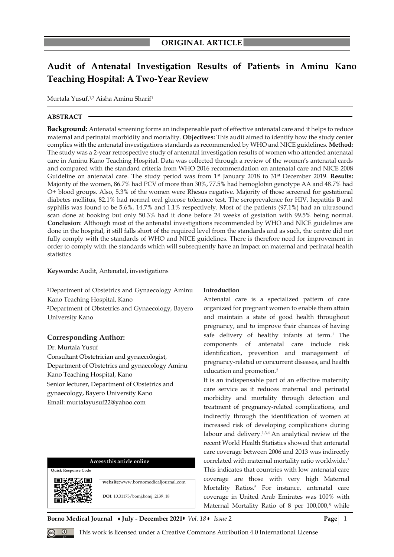# **Audit of Antenatal Investigation Results of Patients in Aminu Kano Teaching Hospital: A Two-Year Review**

Murtala Yusuf, 1,2 Aisha Aminu Sharif<sup>1</sup>

### **ABSTRACT**

**Background:** Antenatal screening forms an indispensable part of effective antenatal care and it helps to reduce maternal and perinatal morbidity and mortality. **Objectives:** This audit aimed to identify how the study center complies with the antenatal investigations standards as recommended by WHO and NICE guidelines. **Method:** The study was a 2-year retrospective study of antenatal investigation results of women who attended antenatal care in Aminu Kano Teaching Hospital. Data was collected through a review of the women's antenatal cards and compared with the standard criteria from WHO 2016 recommendation on antenatal care and NICE 2008 Guideline on antenatal care. The study period was from 1<sup>st</sup> January 2018 to 31<sup>st</sup> December 2019. **Results:** Majority of the women, 86.7% had PCV of more than 30%, 77.5% had hemoglobin genotype AA and 48.7% had O+ blood groups. Also, 5.3% of the women were Rhesus negative. Majority of those screened for gestational diabetes mellitus, 82.1% had normal oral glucose tolerance test. The seroprevalence for HIV, hepatitis B and syphilis was found to be 5.6%, 14.7% and 1.1% respectively. Most of the patients (97.1%) had an ultrasound scan done at booking but only 50.3% had it done before 24 weeks of gestation with 99.5% being normal. **Conclusion**: Although most of the antenatal investigations recommended by WHO and NICE guidelines are done in the hospital, it still falls short of the required level from the standards and as such, the centre did not fully comply with the standards of WHO and NICE guidelines. There is therefore need for improvement in order to comply with the standards which will subsequently have an impact on maternal and perinatal health statistics

#### **Keywords:** Audit, Antenatal, investigations

**<sup>1</sup>**Department of Obstetrics and Gynaecology Aminu Kano Teaching Hospital, Kano

**<sup>2</sup>**Department of Obstetrics and Gynaecology, Bayero University Kano

## **Corresponding Author:**

Dr. Murtala Yusuf

Consultant Obstetrician and gynaecologist, Department of Obstetrics and gynaecology Aminu Kano Teaching Hospital, Kano Senior lecturer, Department of Obstetrics and gynaecology, Bayero University Kano Email: murtalayusuf22@yahoo.com

| Access this article online |                                     |  |  |  |
|----------------------------|-------------------------------------|--|--|--|
| <b>Ouick Response Code</b> |                                     |  |  |  |
|                            | website:www.bornomedicaljournal.com |  |  |  |
|                            | DOI: 10.31173/bomj.bomj_2139_18     |  |  |  |

#### **Introduction**

Antenatal care is a specialized pattern of care organized for pregnant women to enable them attain and maintain a state of good health throughout pregnancy, and to improve their chances of having safe delivery of healthy infants at term.<sup>1</sup> The components of antenatal care include risk identification, prevention and management of pregnancy-related or concurrent diseases, and health education and promotion.<sup>2</sup>

It is an indispensable part of an effective maternity care service as it reduces maternal and perinatal morbidity and mortality through detection and treatment of pregnancy-related complications, and indirectly through the identification of women at increased risk of developing complications during labour and delivery.1,3,4 An analytical review of the recent World Health Statistics showed that antenatal care coverage between 2006 and 2013 was indirectly correlated with maternal mortality ratio worldwide.<sup>3</sup> This indicates that countries with low antenatal care coverage are those with very high Maternal Mortality Ratios.<sup>5</sup> For instance, antenatal care coverage in United Arab Emirates was 100% with Maternal Mortality Ratio of 8 per  $100,000$ ,<sup>5</sup> while

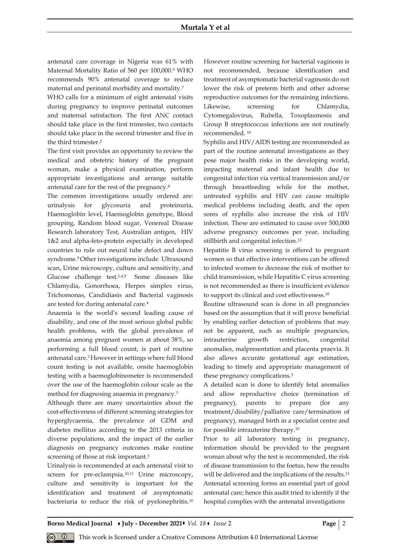#### **Murtala Y et al**

antenatal care coverage in Nigeria was 61% with Maternal Mortality Ratio of 560 per 100,000.<sup>6</sup> WHO recommends 90% antenatal coverage to reduce maternal and perinatal morbidity and mortality.<sup>7</sup>

WHO calls for a minimum of eight antenatal visits during pregnancy to improve perinatal outcomes and maternal satisfaction. The first ANC contact should take place in the first trimester, two contacts should take place in the second trimester and five in the third trimester.<sup>2</sup>

The first visit provides an opportunity to review the medical and obstetric history of the pregnant woman, make a physical examination, perform appropriate investigations and arrange suitable antenatal care for the rest of the pregnancy.<sup>8</sup>

The common investigations usually ordered are: urinalysis for glycosuria and proteinuria, Haemoglobin level, Haemoglobin genotype, Blood grouping, Random blood sugar, Venereal Disease Research laboratory Test, Australian antigen, HIV 1&2 and alpha-feto-protein especially in developed countries to rule out neural tube defect and down syndrome.9 Other investigations include Ultrasound scan, Urine microscopy, culture and sensitivity, and Glucose challenge test.<sup>1,4,9</sup> Some diseases like Chlamydia, Gonorrhoea, Herpes simplex virus, Trichomonas, Candidiasis and Bacterial vaginosis are tested for during antenatal care.<sup>4</sup>

Anaemia is the world's second leading cause of disability, and one of the most serious global public health problems, with the global prevalence of anaemia among pregnant women at about 38%, so performing a full blood count, is part of routine antenatal care.3 However in settings where full blood count testing is not available, onsite haemoglobin testing with a haemoglobinometer is recommended over the use of the haemoglobin colour scale as the method for diagnosing anaemia in pregnancy.<sup>3</sup>

Although there are many uncertainties about the cost-effectiveness of different screening strategies for hyperglycaemia, the prevalence of GDM and diabetes mellitus according to the 2013 criteria in diverse populations, and the impact of the earlier diagnosis on pregnancy outcomes make routine screening of those at risk important.<sup>3</sup>

Urinalysis is recommended at each antenatal visit to screen for pre-eclampsia.<sup>10,11</sup> Urine microscopy, culture and sensitivity is important for the identification and treatment of asymptomatic bacteriuria to reduce the risk of pyelonephritis.<sup>10</sup> However routine screening for bacterial vaginosis is not recommended, because identification and treatment of asymptomatic bacterial vaginosis do not lower the risk of preterm birth and other adverse reproductive outcomes for the remaining infections. Likewise, screening for Chlamydia, Cytomegalovirus, Rubella, Toxoplasmosis and Group B streptococcus infections are not routinely recommended. <sup>10</sup>

Syphilis and HIV/AIDS testing are recommended as part of the routine antenatal investigations as they pose major health risks in the developing world, impacting maternal and infant health due to congenital infection via vertical transmission and/or through breastfeeding while for the mother, untreated syphilis and HIV can cause multiple medical problems including death, and the open sores of syphilis also increase the risk of HIV infection. These are estimated to cause over 500,000 adverse pregnancy outcomes per year, including stillbirth and congenital infection.<sup>12</sup>

Hepatitis B virus screening is offered to pregnant women so that effective interventions can be offered to infected women to decrease the risk of mother to child transmission, while Hepatitis C virus screening is not recommended as there is insufficient evidence to support its clinical and cost effectiveness.<sup>10</sup>

Routine ultrasound scan is done in all pregnancies based on the assumption that it will prove beneficial by enabling earlier detection of problems that may not be apparent, such as multiple pregnancies, intrauterine growth restriction, congenital anomalies, malpresentation and placenta praevia. It also allows accurate gestational age estimation, leading to timely and appropriate management of these pregnancy complications.<sup>3</sup>

A detailed scan is done to identify fetal anomalies and allow reproductive choice (termination of pregnancy), parents to prepare (for any treatment/disability/palliative care/termination of pregnancy), managed birth in a specialist centre and for possible intrauterine therapy.<sup>10</sup>

Prior to all laboratory testing in pregnancy, information should be provided to the pregnant woman about why the test is recommended, the risk of disease transmission to the foetus, how the results will be delivered and the implications of the results.<sup>13</sup> Antenatal screening forms an essential part of good antenatal care; hence this audit tried to identify if the hospital complies with the antenatal investigations

**Borno Medical Journal • July - December 2021 •** *Vol.* 18 • *Issue* 2 **Page** 2 **Page** 2

This work is licensed under a Creative Commons Attribution 4.0 International License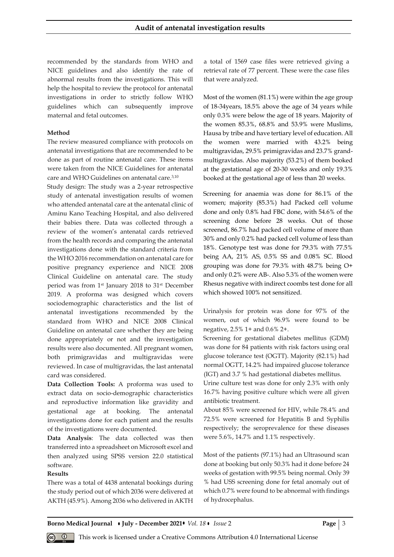recommended by the standards from WHO and NICE guidelines and also identify the rate of abnormal results from the investigations. This will help the hospital to review the protocol for antenatal investigations in order to strictly follow WHO guidelines which can subsequently improve maternal and fetal outcomes.

#### **Method**

The review measured compliance with protocols on antenatal investigations that are recommended to be done as part of routine antenatal care. These items were taken from the NICE Guidelines for antenatal care and WHO Guidelines on antenatal care.3,10

Study design: The study was a 2-year retrospective study of antenatal investigation results of women who attended antenatal care at the antenatal clinic of Aminu Kano Teaching Hospital, and also delivered their babies there. Data was collected through a review of the women's antenatal cards retrieved from the health records and comparing the antenatal investigations done with the standard criteria from the WHO 2016 recommendation on antenatal care for positive pregnancy experience and NICE 2008 Clinical Guideline on antenatal care. The study period was from 1st January 2018 to 31st December 2019. A proforma was designed which covers sociodemographic characteristics and the list of antenatal investigations recommended by the standard from WHO and NICE 2008 Clinical Guideline on antenatal care whether they are being done appropriately or not and the investigation results were also documented. All pregnant women, both primigravidas and multigravidas were reviewed. In case of multigravidas, the last antenatal card was considered.

**Data Collection Tools:** A proforma was used to extract data on socio-demographic characteristics and reproductive information like gravidity and gestational age at booking. The antenatal investigations done for each patient and the results of the investigations were documented.

**Data Analysis**: The data collected was then transferred into a spreadsheet on Microsoft excel and then analyzed using SPSS version 22.0 statistical software.

#### **Results**

There was a total of 4438 antenatal bookings during the study period out of which 2036 were delivered at AKTH (45.9%). Among 2036 who delivered in AKTH a total of 1569 case files were retrieved giving a retrieval rate of 77 percent. These were the case files that were analyzed.

Most of the women (81.1%) were within the age group of 18-34years, 18.5% above the age of 34 years while only 0.3% were below the age of 18 years. Majority of the women 85.3%, 68.8% and 53.9% were Muslims, Hausa by tribe and have tertiary level of education. All the women were married with 43.2% being multigravidas, 29.5% primigravidas and 23.7% grandmultigravidas. Also majority (53.2%) of them booked at the gestational age of 20-30 weeks and only 19.3% booked at the gestational age of less than 20 weeks.

Screening for anaemia was done for 86.1% of the women; majority (85.3%) had Packed cell volume done and only 0.8% had FBC done, with 54.6% of the screening done before 28 weeks. Out of those screened, 86.7% had packed cell volume of more than 30% and only 0.2% had packed cell volume of less than 18%. Genotype test was done for 79.3% with 77.5% being AA, 21% AS, 0.5% SS and 0.08% SC. Blood grouping was done for 79.3% with 48.7% being O+ and only 0.2% were AB-. Also 5.3% of the women were Rhesus negative with indirect coombs test done for all which showed 100% not sensitized.

Urinalysis for protein was done for 97% of the women, out of which 96.9% were found to be negative, 2.5% 1+ and 0.6% 2+.

Screening for gestational diabetes mellitus (GDM) was done for 84 patients with risk factors using oral glucose tolerance test (OGTT). Majority (82.1%) had normal OGTT, 14.2% had impaired glucose tolerance (IGT) and 3.7 % had gestational diabetes mellitus.

Urine culture test was done for only 2.3% with only 16.7% having positive culture which were all given antibiotic treatment.

About 85% were screened for HIV, while 78.4% and 72.5% were screened for Hepatitis B and Syphilis respectively; the seroprevalence for these diseases were 5.6%, 14.7% and 1.1% respectively.

Most of the patients (97.1%) had an Ultrasound scan done at booking but only 50.3% had it done before 24 weeks of gestation with 99.5% being normal. Only 39 % had USS screening done for fetal anomaly out of which 0.7% were found to be abnormal with findings of hydrocephalus.

**Borno Medical Journal • July - December 2021 •** *Vol.* 18 • *Issue* 2 **Page** | 3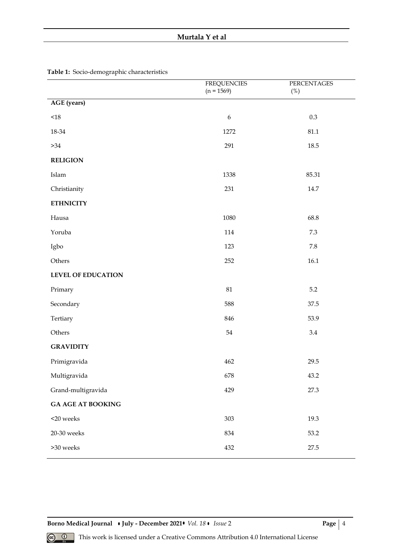# **Murtala Y et al**

|                           | <b>FREQUENCIES</b><br>$(n = 1569)$ | PERCENTAGES<br>(%) |
|---------------------------|------------------------------------|--------------------|
| <b>AGE</b> (years)        |                                    |                    |
| $<\!\!18$                 | $\boldsymbol{6}$                   | $0.3\,$            |
| 18-34                     | 1272                               | $81.1\,$           |
| $>34$                     | 291                                | 18.5               |
| <b>RELIGION</b>           |                                    |                    |
| Islam                     | 1338                               | 85.31              |
| Christianity              | 231                                | $14.7\,$           |
| <b>ETHNICITY</b>          |                                    |                    |
| Hausa                     | 1080                               | 68.8               |
| Yoruba                    | 114                                | $7.3\,$            |
| Igbo                      | 123                                | 7.8                |
| Others                    | 252                                | 16.1               |
| <b>LEVEL OF EDUCATION</b> |                                    |                    |
| Primary                   | $81\,$                             | $5.2\,$            |
| Secondary                 | 588                                | 37.5               |
| Tertiary                  | 846                                | 53.9               |
| Others                    | $54\,$                             | $3.4\,$            |
| <b>GRAVIDITY</b>          |                                    |                    |
| Primigravida              | 462                                | 29.5               |
| Multigravida              | 678                                | 43.2               |
| Grand-multigravida        | 429                                | 27.3               |
| <b>GA AGE AT BOOKING</b>  |                                    |                    |
| $<$ 20 weeks              | 303                                | 19.3               |
| 20-30 weeks               | 834                                | 53.2               |
| $>30$ weeks               | 432                                | 27.5               |
|                           |                                    |                    |

**Table 1:** Socio-demographic characteristics

**Borno Medical Journal • July - December 2021 •** *Vol. 18* **•** *Issue* **2 <b>Page** | 4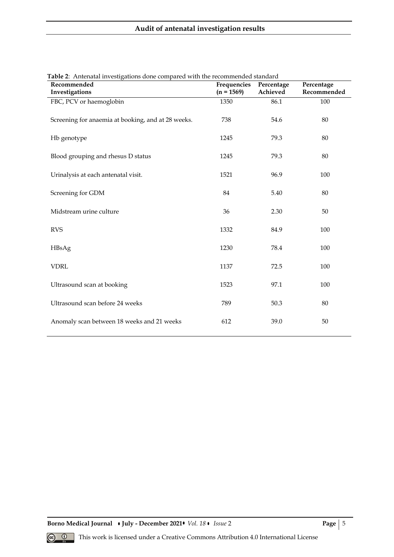| <b>Table 2:</b> Antenatal investigations done compared with the recommended standard<br>Recommended | Frequencies  | Percentage | Percentage  |
|-----------------------------------------------------------------------------------------------------|--------------|------------|-------------|
| Investigations                                                                                      | $(n = 1569)$ | Achieved   | Recommended |
| FBC, PCV or haemoglobin                                                                             | 1350         | 86.1       | 100         |
| Screening for anaemia at booking, and at 28 weeks.                                                  | 738          | 54.6       | 80          |
| Hb genotype                                                                                         | 1245         | 79.3       | 80          |
| Blood grouping and rhesus D status                                                                  | 1245         | 79.3       | 80          |
| Urinalysis at each antenatal visit.                                                                 | 1521         | 96.9       | 100         |
| Screening for GDM                                                                                   | 84           | 5.40       | 80          |
| Midstream urine culture                                                                             | 36           | 2.30       | 50          |
| <b>RVS</b>                                                                                          | 1332         | 84.9       | 100         |
| HBsAg                                                                                               | 1230         | 78.4       | 100         |
| <b>VDRL</b>                                                                                         | 1137         | 72.5       | 100         |
| Ultrasound scan at booking                                                                          | 1523         | 97.1       | 100         |
| Ultrasound scan before 24 weeks                                                                     | 789          | 50.3       | 80          |
| Anomaly scan between 18 weeks and 21 weeks                                                          | 612          | 39.0       | 50          |

|  |  | Table 2: Antenatal investigations done compared with the recommended standard |  |
|--|--|-------------------------------------------------------------------------------|--|
|  |  |                                                                               |  |

**Borno Medical Journal • July - December 2021 •** *Vol. 18* **•** *Issue* **2 <b>Page** | 5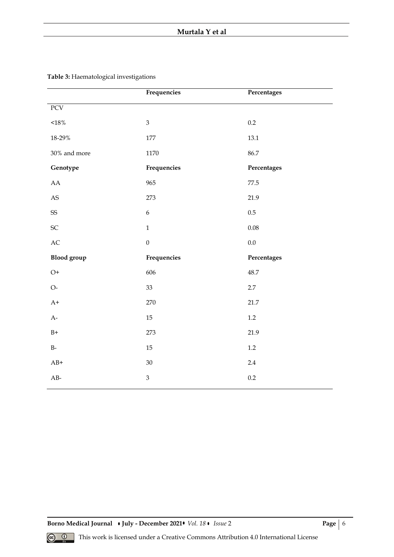|                        | Frequencies      | Percentages |  |
|------------------------|------------------|-------------|--|
| PCV                    |                  |             |  |
| $<$ 18 $\!\%$          | $\mathfrak{Z}$   | $0.2\,$     |  |
| 18-29%                 | 177              | 13.1        |  |
| $30\%$ and more        | 1170             | 86.7        |  |
| Genotype               | Frequencies      | Percentages |  |
| ${\rm AA}$             | 965              | 77.5        |  |
| $\mathbf{A}\mathbf{S}$ | 273              | 21.9        |  |
| $SS$                   | $\boldsymbol{6}$ | $0.5\,$     |  |
| SC                     | $\mathbf{1}$     | $0.08\,$    |  |
| $\mathbf{AC}$          | $\boldsymbol{0}$ | $0.0\,$     |  |
| <b>Blood</b> group     | Frequencies      | Percentages |  |
| $O+$                   | 606              | 48.7        |  |
| $O-$                   | 33               | 2.7         |  |
| $A+$                   | 270              | 21.7        |  |
| $A-$                   | 15               | $1.2\,$     |  |
| $B+$                   | 273              | 21.9        |  |
| $B-$                   | 15               | $1.2\,$     |  |
| $AB+$                  | 30               | $2.4\,$     |  |
| $AB-$                  | $\overline{3}$   | 0.2         |  |

**Table 3:** Haematological investigations

**Borno Medical Journal • July - December 2021 •** *Vol. 18* **•** *Issue* **2 <b>Page** | 6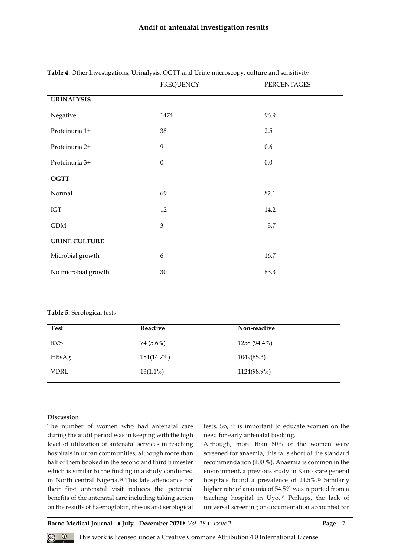|                      | <b>FREQUENCY</b> | PERCENTAGES |
|----------------------|------------------|-------------|
| <b>URINALYSIS</b>    |                  |             |
| Negative             | 1474             | 96.9        |
| Proteinuria 1+       | 38               | $2.5\,$     |
| Proteinuria 2+       | 9                | 0.6         |
| Proteinuria 3+       | $\boldsymbol{0}$ | 0.0         |
| <b>OGTT</b>          |                  |             |
| Normal               | 69               | 82.1        |
| IGT                  | 12               | 14.2        |
| $\operatorname{GDM}$ | 3                | 3.7         |
| <b>URINE CULTURE</b> |                  |             |
| Microbial growth     | $\boldsymbol{6}$ | 16.7        |
| No microbial growth  | 30               | 83.3        |

**Table 4:** Other Investigations; Urinalysis, OGTT and Urine microscopy, culture and sensitivity

#### **Table 5:** Serological tests

| <b>Test</b> | Reactive    | Non-reactive |
|-------------|-------------|--------------|
| <b>RVS</b>  | 74 (5.6%)   | 1258 (94.4%) |
| HBsAg       | 181(14.7%)  | 1049(85.3)   |
| <b>VDRL</b> | $13(1.1\%)$ | 1124(98.9%)  |

## **Discussion**

The number of women who had antenatal care during the audit period was in keeping with the high level of utilization of antenatal services in teaching hospitals in urban communities, although more than half of them booked in the second and third trimester which is similar to the finding in a study conducted in North central Nigeria.14 This late attendance for their first antenatal visit reduces the potential benefits of the antenatal care including taking action on the results of haemoglobin, rhesus and serological tests. So, it is important to educate women on the need for early antenatal booking.

Although, more than 80% of the women were screened for anaemia, this falls short of the standard recommendation (100 %). Anaemia is common in the environment, a previous study in Kano state general hospitals found a prevalence of 24.5%.<sup>15</sup> Similarly higher rate of anaemia of 54.5% was reported from a teaching hospital in Uyo.<sup>16</sup> Perhaps, the lack of universal screening or documentation accounted for

**Borno Medical Journal • July - December 2021 •** *Vol.* 18 • *Issue* 2 **Page | 7**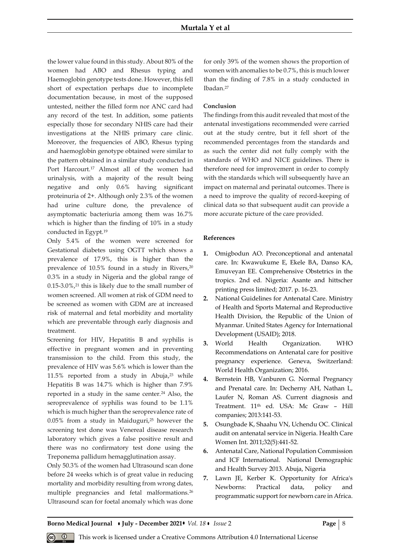the lower value found in this study. About 80% of the women had ABO and Rhesus typing and Haemoglobin genotype tests done. However, this fell short of expectation perhaps due to incomplete documentation because, in most of the supposed untested, neither the filled form nor ANC card had any record of the test. In addition, some patients especially those for secondary NHIS care had their investigations at the NHIS primary care clinic. Moreover, the frequencies of ABO, Rhesus typing and haemoglobin genotype obtained were similar to the pattern obtained in a similar study conducted in Port Harcourt.<sup>17</sup> Almost all of the women had urinalysis, with a majority of the result being negative and only 0.6% having significant proteinuria of 2+. Although only 2.3% of the women had urine culture done, the prevalence of asymptomatic bacteriuria among them was 16.7% which is higher than the finding of 10% in a study conducted in Egypt.<sup>19</sup>

Only 5.4% of the women were screened for Gestational diabetes using OGTT which shows a prevalence of 17.9%, this is higher than the prevalence of 10.5% found in a study in Rivers,<sup>20</sup> 0.3% in a study in Nigeria and the global range of  $0.15-3.0\%$ ,<sup>21</sup> this is likely due to the small number of women screened. All women at risk of GDM need to be screened as women with GDM are at increased risk of maternal and fetal morbidity and mortality which are preventable through early diagnosis and treatment.

Screening for HIV, Hepatitis B and syphilis is effective in pregnant women and in preventing transmission to the child. From this study, the prevalence of HIV was 5.6% which is lower than the 11.5% reported from a study in Abuja, <sup>23</sup> while Hepatitis B was 14.7% which is higher than 7.9% reported in a study in the same center.<sup>24</sup> Also, the seroprevalence of syphilis was found to be 1.1% which is much higher than the seroprevalence rate of 0.05% from a study in Maiduguri,<sup>25</sup> however the screening test done was Venereal disease research laboratory which gives a false positive result and there was no confirmatory test done using the Treponema pallidum hemagglutination assay.

Only 50.3% of the women had Ultrasound scan done before 24 weeks which is of great value in reducing mortality and morbidity resulting from wrong dates, multiple pregnancies and fetal malformations.<sup>26</sup> Ultrasound scan for foetal anomaly which was done for only 39% of the women shows the proportion of women with anomalies to be 0.7%, this is much lower than the finding of 7.8% in a study conducted in Ibadan.<sup>27</sup>

# **Conclusion**

The findings from this audit revealed that most of the antenatal investigations recommended were carried out at the study centre, but it fell short of the recommended percentages from the standards and as such the center did not fully comply with the standards of WHO and NICE guidelines. There is therefore need for improvement in order to comply with the standards which will subsequently have an impact on maternal and perinatal outcomes. There is a need to improve the quality of record-keeping of clinical data so that subsequent audit can provide a more accurate picture of the care provided.

## **References**

- **1.** Omigbodun AO. Preconceptional and antenatal care. In: Kwawukume E, Ekele BA, Danso KA, Emuveyan EE. Comprehensive Obstetrics in the tropics. 2nd ed. Nigeria: Asante and hittscher printing press limited; 2017. p. 16-23.
- **2.** National Guidelines for Antenatal Care. Ministry of Health and Sports Maternal and Reproductive Health Division, the Republic of the Union of Myanmar. United States Agency for International Development (USAID); 2018.
- **3.** World Health Organization. WHO Recommendations on Antenatal care for positive pregnancy experience. Geneva, Switzerland: World Health Organization; 2016.
- **4.** Bernstein HB, Vanburen G. Normal Pregnancy and Prenatal care. In: Decherny AH, Nathan L, Laufer N, Roman AS. Current diagnosis and Treatment. 11<sup>th</sup> ed. USA: Mc Graw - Hill companies; 2013:141-53.
- **5.** Osungbade K, Shaahu VN, Uchendu OC. Clinical audit on antenatal service in Nigeria. Health Care Women Int. 2011;32(5):441-52.
- **6.** Antenatal Care, National Population Commission and ICF International. National Demographic and Health Survey 2013. Abuja, Nigeria
- **7.** Lawn JE, Kerber K. Opportunity for Africa's Newborns: Practical data, policy and programmatic support for newborn care in Africa.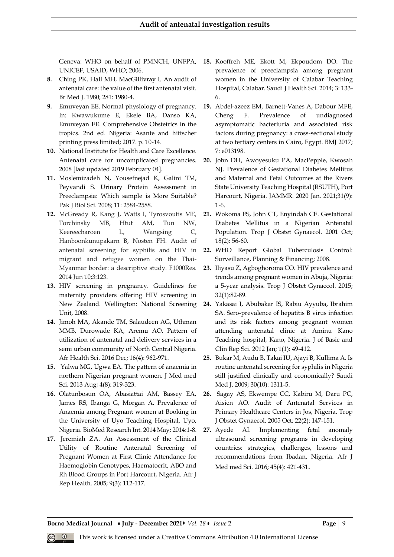Geneva: WHO on behalf of PMNCH, UNFPA, UNICEF, USAID, WHO; 2006.

- **8.** Ching PK, Hall MH, MacGillivray I. An audit of antenatal care: the value of the first antenatal visit. Br Med J. 1980; 281: 1980-4.
- **9.** Emuveyan EE. Normal physiology of pregnancy. In: Kwawukume E, Ekele BA, Danso KA, Emuveyan EE. Comprehensive Obstetrics in the tropics. 2nd ed. Nigeria: Asante and hittscher printing press limited; 2017. p. 10-14.
- **10.** National Institute for Health and Care Excellence. Antenatal care for uncomplicated pregnancies. 2008 [last updated 2019 February 04].
- **11.** Moslemizadeh N, Yousefnejad K, Galini TM, Peyvandi S. Urinary Protein Assessment in Preeclampsia: Which sample is More Suitable? Pak J Biol Sci. 2008; 11: 2584-2588.
- **12.** McGready R, Kang J, Watts I, Tyrosvoutis ME, Torchinsky MB, Htut AM, Tun NW, Keereecharoen L, Wangsing C, Hanboonkunupakarn B, Nosten FH. Audit of antenatal screening for syphilis and HIV in migrant and refugee women on the Thai-Myanmar border: a descriptive study. F1000Res. 2014 Jun 10;3:123.
- **13.** HIV screening in pregnancy. Guidelines for maternity providers offering HIV screening in New Zealand. Wellington: National Screening Unit, 2008.
- **14.** Jimoh MA, Akande TM, Salaudeen AG, Uthman MMB, Durowade KA, Aremu AO. Pattern of utilization of antenatal and delivery services in a semi urban community of North Central Nigeria. Afr Health Sci. 2016 Dec; 16(4): 962-971.
- **15.** Yalwa MG, Ugwa EA. The pattern of anaemia in northern Nigerian pregnant women. J Med med Sci. 2013 Aug; 4(8): 319-323.
- **16.** Olatunbosun OA, Abasiattai AM, Bassey EA, James RS, Ibanga G, Morgan A. Prevalence of Anaemia among Pregnant women at Booking in the University of Uyo Teaching Hospital, Uyo, Nigeria. BioMed Research Int. 2014 May; 2014:1-8.
- **17.** Jeremiah ZA. An Assessment of the Clinical Utility of Routine Antenatal Screening of Pregnant Women at First Clinic Attendance for Haemoglobin Genotypes, Haematocrit, ABO and Rh Blood Groups in Port Harcourt, Nigeria. Afr J Rep Health. 2005; 9(3): 112-117.
- **18.** Kooffreh ME, Ekott M, Ekpoudom DO. The prevalence of preeclampsia among pregnant women in the University of Calabar Teaching Hospital, Calabar. Saudi J Health Sci. 2014; 3: 133- 6.
- **19.** Abdel-azeez EM, Barnett-Vanes A, Dabour MFE, Cheng F. Prevalence of undiagnosed asymptomatic bacteriuria and associated risk factors during pregnancy: a cross-sectional study at two tertiary centers in Cairo, Egypt. BMJ 2017; 7: e013198.
- **20.** John DH, Awoyesuku PA, MacPepple, Kwosah NJ. Prevalence of Gestational Diabetes Mellitus and Maternal and Fetal Outcomes at the Rivers State University Teaching Hospital (RSUTH), Port Harcourt, Nigeria. JAMMR. 2020 Jan. 2021;31(9): 1-6.
- **21.** Wokoma FS, John CT, Enyindah CE. Gestational Diabetes Mellitus in a Nigerian Antenatal Population. Trop J Obstet Gynaecol. 2001 Oct; 18(2): 56-60.
- **22.** WHO Report Global Tuberculosis Control: Surveillance, Planning & Financing; 2008.
- **23.** Iliyasu Z, Agboghoroma CO. HIV prevalence and trends among pregnant women in Abuja, Nigeria: a 5-year analysis. Trop J Obstet Gynaecol. 2015; 32(1):82-89.
- **24.** Yakasai I, Abubakar IS, Rabiu Ayyuba, Ibrahim SA. Sero-prevalence of hepatitis B virus infection and its risk factors among pregnant women attending antenatal clinic at Aminu Kano Teaching hospital, Kano, Nigeria. J of Basic and Clin Rep Sci. 2012 Jan; 1(1): 49-412.
- **25.** Bukar M, Audu B, Takai IU, Ajayi B, Kullima A. Is routine antenatal screening for syphilis in Nigeria still justified clinically and economically? Saudi Med J. 2009; 30(10): 1311-5.
- **26.** Sagay AS, Ekwempe CC, Kabiru M, Daru PC, Aisien AO. Audit of Antenatal Services in Primary Healthcare Centers in Jos, Nigeria. Trop J Obstet Gynaecol. 2005 Oct; 22(2): 147-151.
- **27.** Ayede AI. Implementing fetal anomaly ultrasound screening programs in developing countries: strategies, challenges, lessons and recommendations from Ibadan, Nigeria. Afr J Med med Sci. 2016; 45(4): 421-431.

**Borno Medical Journal • July - December 2021•** *Vol. 18* • *Issue* 2 **Page** | 9